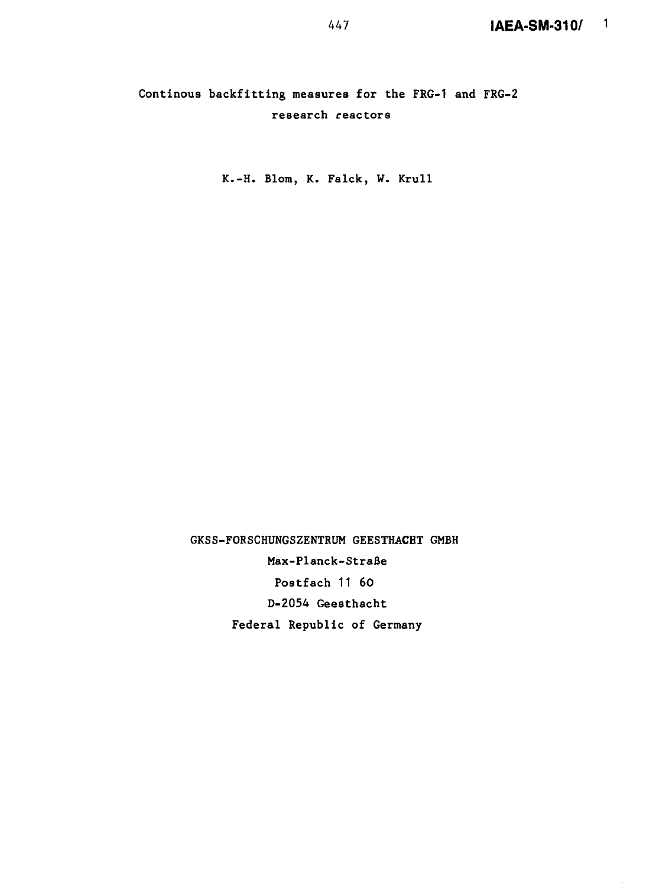**Continous backfitting measures for the FRG-1 and FRG-2 research reactors**

**K.-H. Blom, K. Falck, W. Krull**

**GKSS-FORSCHUNGSZENTRUM GEESTHACHT GMBH Max-Planck-Strafie Postfach 11 60 D-2054 Geesthacht Federal Republic of Germany**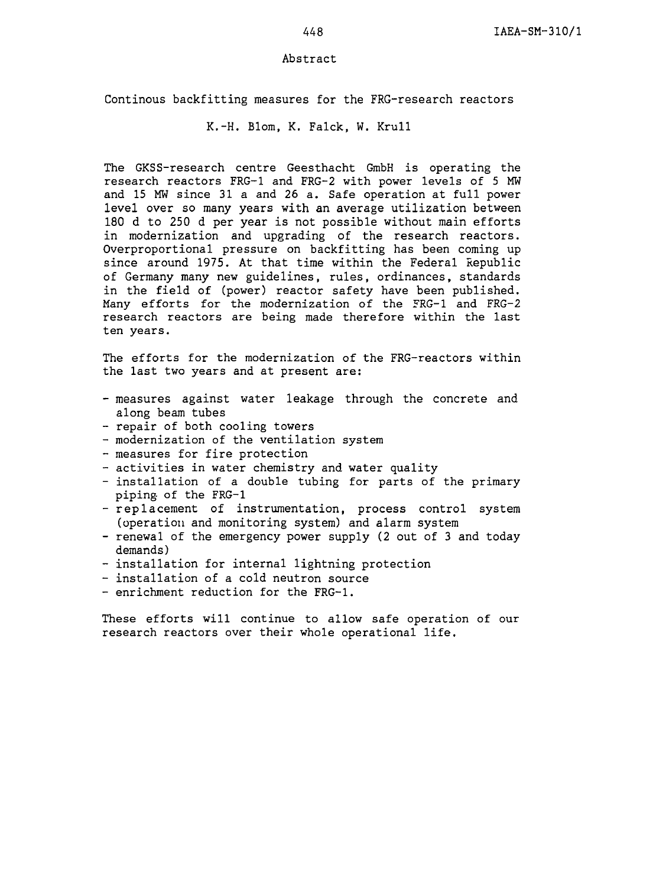#### Abstract

Continous backfitting measures for the FRG-research reactors

K.-H. Blom, K. Falck, W. Krull

The GKSS-research centre Geesthacht GmbH is operating the research reactors FRG-1 and FRG-2 with power levels of 5 MW and 15 MW since 31 a and 26 a. Safe operation at full power level over so many years with an average utilization between 180 d to 250 d per year is not possible without main efforts in modernization and upgrading of the research reactors. Overproportional pressure on backfitting has been coming up since around 1975. At that time within the Federal Republic of Germany many new guidelines, rules, ordinances, standards in the field of (power) reactor safety have been published. Many efforts for the modernization of the FRG-1 and FRG-2 research reactors are being made therefore within the last ten years.

The efforts for the modernization of the FRG-reactors within the last two years and at present are:

- measures against water leakage through the concrete and along beam tubes
- repair of both cooling towers
- modernization of the ventilation system
- measures for fire protection
- activities in water chemistry and water quality
- installation of a double tubing for parts of the primary piping- of the FRG-1
- replacement of instrumentation, process control system (operation and monitoring system) and alarm system
- renewal of the emergency power supply (2 out of 3 and today demands)
- installation for internal lightning protection
- installation of a cold neutron source
- enrichment reduction for the FRG-1.

These efforts will continue to allow safe operation of our research reactors over their whole operational life.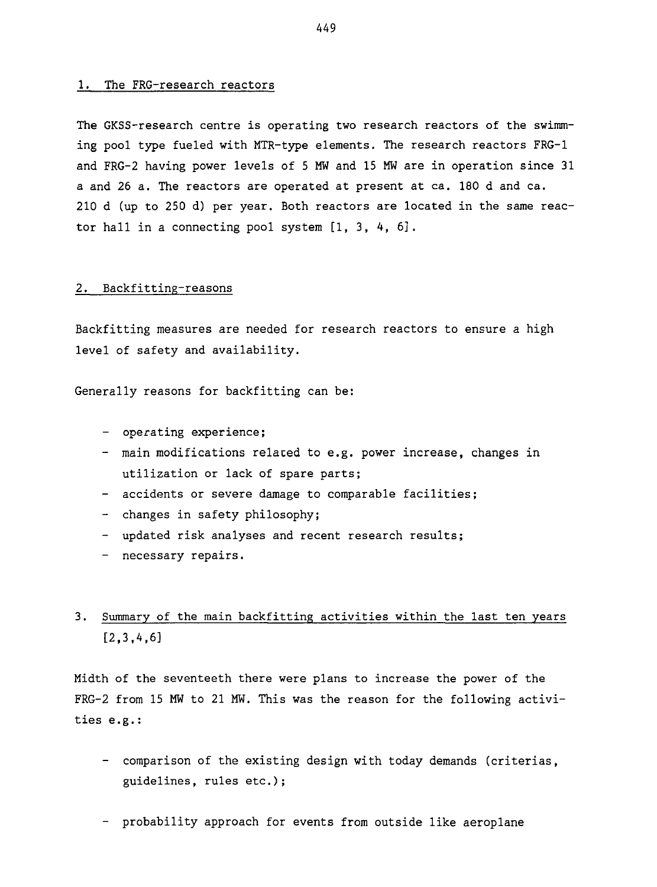#### 1. The FRG-research reactors

The GKSS-research centre is operating two research reactors of the swimming pool type fueled with MTR-type elements. The research reactors FRG-1 and FRG-2 having power levels of 5 MW and 15 MW are in operation since 31 a and 26 a. The reactors are operated at present at ca. 180 d and ca. 210 d (up to 250 d) per year. Both reactors are located in the same reactor hall in a connecting pool system [1, 3, 4, 6].

### 2. Backfitting-reasons

Backfitting measures are needed for research reactors to ensure a high level of safety and availability.

Generally reasons for backfitting can be:

- operating experience;
- main modifications related to e.g. power increase, changes in utilization or lack of spare parts;
- accidents or severe damage to comparable facilities;
- changes in safety philosophy;
- updated risk analyses and recent research results;
- necessary repairs.

# 3. Summary of the main backfitting activities within the last ten years  $[2,3,4,6]$

Midth of the seventeeth there were plans to increase the power of the FRG-2 from 15 MW to 21 MW. This was the reason for the following activities e.g.:

- comparison of the existing design with today demands (criterias, guidelines, rules etc.);
- probability approach for events from outside like aeroplane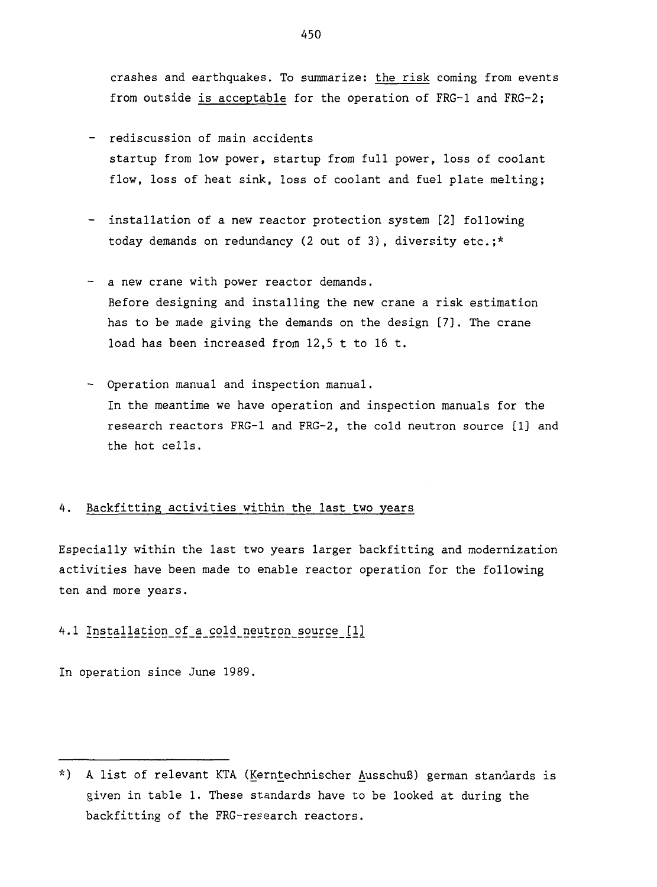crashes and earthquakes. To summarize: the risk coming from events from outside is acceptable for the operation of FRG-1 and FRG-2;

- rediscussion of main accidents startup from low power, startup from full power, loss of coolant flow, loss of heat sink, loss of coolant and fuel plate melting;
- installation of a new reactor protection system [2] following today demands on redundancy (2 out of 3), diversity etc.;\*
- a new crane with power reactor demands. Before designing and installing the new crane a risk estimation has to be made giving the demands on the design [7]. The crane load has been increased from 12,5 t to 16 t.
- Operation manual and inspection manual. In the meantime we have operation and inspection manuals for the research reactors FRG-1 and FRG-2, the cold neutron source [1] and the hot cells.

## 4. Backfitting activities within the last two years

Especially within the last two years larger backfitting and modernization activities have been made to enable reactor operation for the following ten and more years.

# 4.1 Installation of a cold neutron source [1]

In operation since June 1989.

<sup>\*)</sup> A list of relevant KTA (Kerntechnischer AusschuB) german standards is given in table 1. These standards have to be looked at during the backfitting of the FRG-research reactors.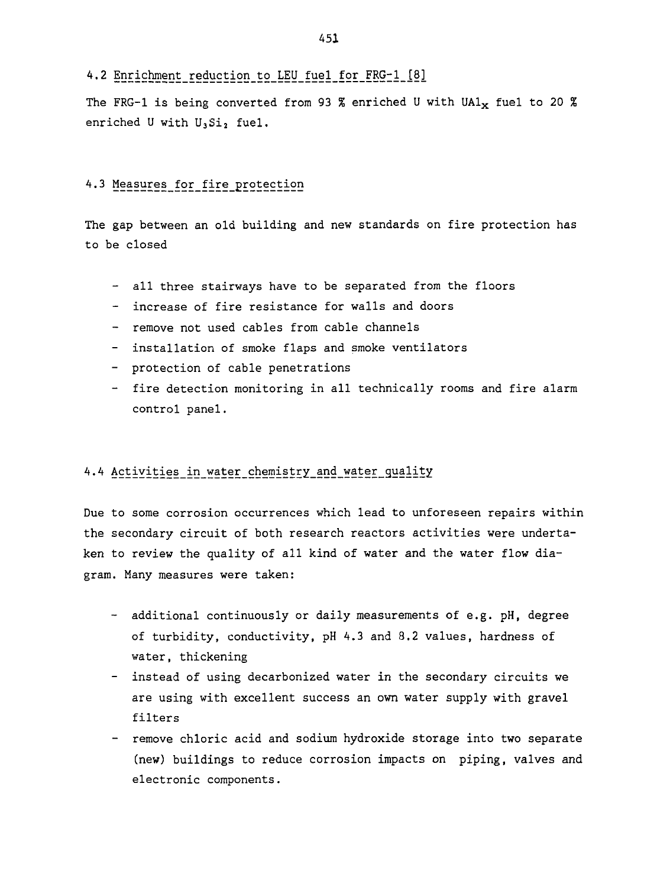## 4.2 Enrichment reduction to LEU fuel for FRG-1 [8]

The FRG-1 is being converted from 93 % enriched U with UA1<sub>x</sub> fuel to 20 % enriched U with  $U_3Si_2$  fuel.

# 4.3 Measures for fire protection

The gap between an old building and new standards on fire protection has to be closed

- all three stairways have to be separated from the floors
- increase of fire resistance for walls and doors
- remove not used cables from cable channels
- installation of smoke flaps and smoke ventilators
- protection of cable penetrations
- fire detection monitoring in all technically rooms and fire alarm control panel.

# 4.4 Activities in water chemistry and water quality

Due to some corrosion occurrences which lead to unforeseen repairs within the secondary circuit of both research reactors activities were undertaken to review the quality of all kind of water and the water flow diagram. Many measures were taken:

- additional continuously or daily measurements of e.g. pH, degree of turbidity, conductivity, pH 4.3 and 8.2 values, hardness of water, thickening
- instead of using decarbonized water in the secondary circuits we are using with excellent success an own water supply with gravel filters
- remove chloric acid and sodium hydroxide storage into two separate (new) buildings to reduce corrosion impacts on piping, valves and electronic components.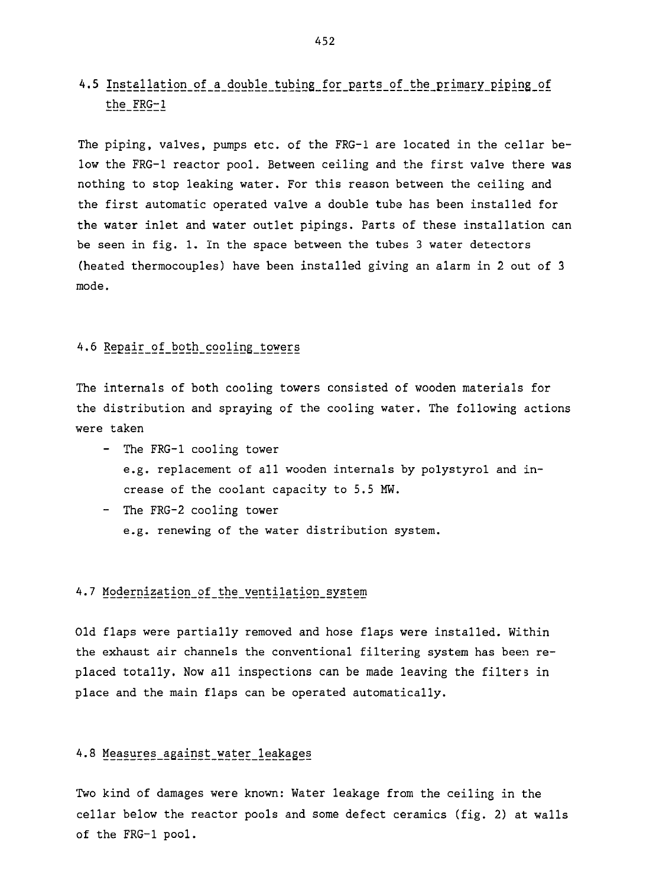# 4.5 Installation of a double tubing for parts of the primary piping of the\_FRG=l

The piping, valves, pumps etc. of the FRG-1 are located in the cellar below the FRG-1 reactor pool. Between ceiling and the first valve there was nothing to stop leaking water. For this reason between the ceiling and the first automatic operated valve a double tube has been installed for the water inlet and water outlet pipings. Parts of these installation can be seen in fig. 1. In the space between the tubes 3 water detectors (heated thermocouples) have been installed giving an alarm in 2 out of 3 mode.

## 4.6 Repair of both cooling towers

The internals of both cooling towers consisted of wooden materials for the distribution and spraying of the cooling water. The following actions were taken

- The FRG-1 cooling tower e.g. replacement of all wooden internals by polystyrol and increase of the coolant capacity to 5.5 MW.
- The FRG-2 cooling tower e.g. renewing of the water distribution system.

# 4.7 Modernization of the ventilation system

Old flaps were partially removed and hose flaps were installed. Within the exhaust air channels the conventional filtering system has been replaced totally. Now all inspections can be made leaving the filters in place and the main flaps can be operated automatically.

## 4.8 Measures against water leakages

Two kind of damages were known: Water leakage from the ceiling in the cellar below the reactor pools and some defect ceramics (fig. 2) at walls of the FRG-1 pool.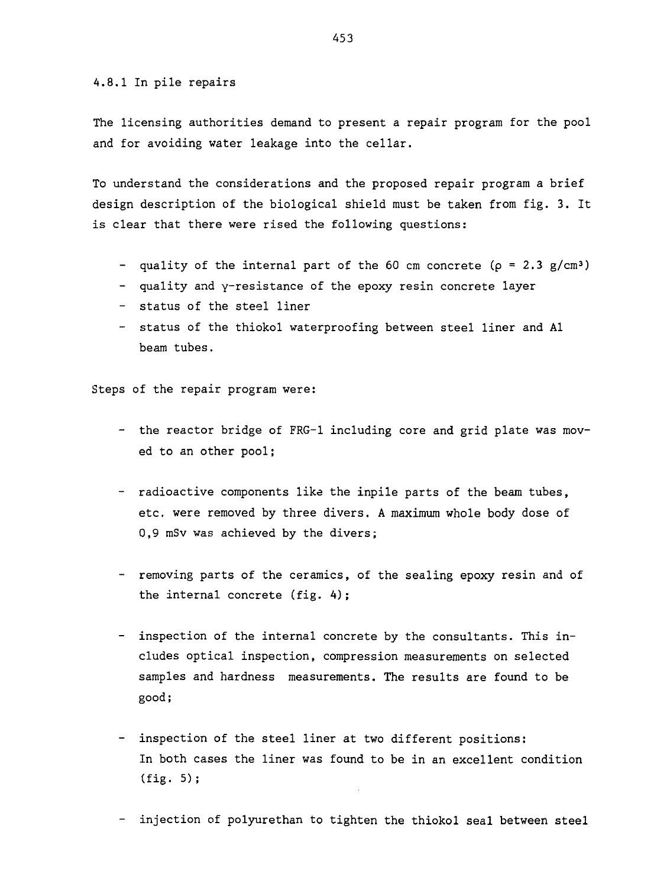A.8.1 In pile repairs

The licensing authorities demand to present a repair program for the pool and for avoiding water leakage into the cellar.

To understand the considerations and the proposed repair program a brief design description of the biological shield must be taken from fig. 3. It is clear that there were rised the following questions:

- quality of the internal part of the 60 cm concrete ( $p = 2.3$  g/cm<sup>3</sup>)
- quality and Y~resistance of the epoxy resin concrete layer
- status of the steel liner
- status of the thiokol waterproofing between steel liner and Al beam tubes.

Steps of the repair program were:

- the reactor bridge of FRG-1 including core and grid plate was moved to an other pool;
- radioactive components like the inpile parts of the beam tubes, etc, were removed by three divers. A maximum whole body dose of 0,9 mSv was achieved by the divers;
- removing parts of the ceramics, of the sealing epoxy resin and of the internal concrete (fig. A) ;
- inspection of the internal concrete by the consultants. This includes optical inspection, compression measurements on selected samples and hardness measurements. The results are found to be good;
- inspection of the steel liner at two different positions: In both cases the liner was found to be in an excellent condition (fig. 5);
- injection of polyurethan to tighten the thiokol seal between steel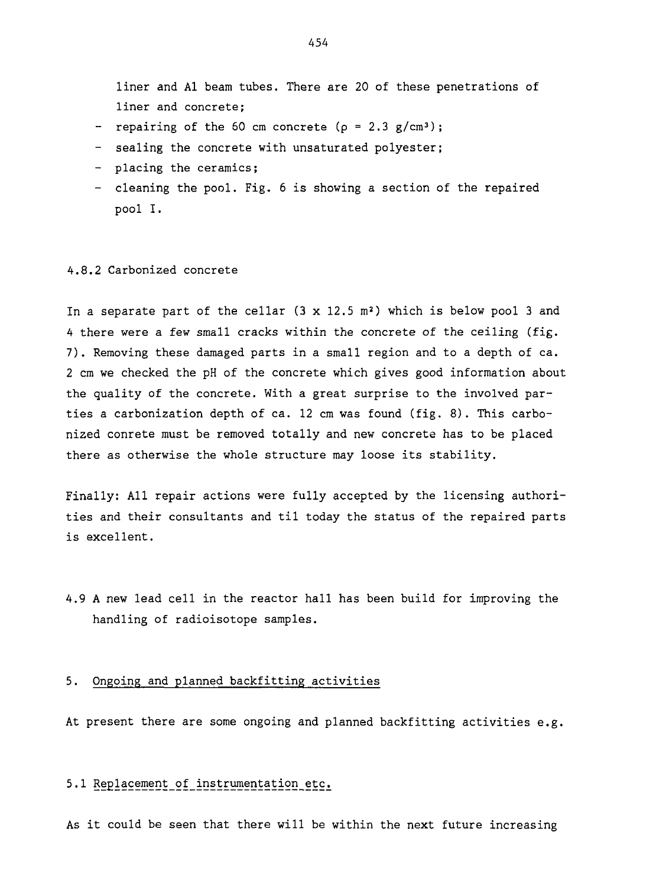liner and Al beam tubes. There are 20 of these penetrations of liner and concrete;

- repairing of the 50 cm concrete ( $p = 2.3$  g/cm<sup>3</sup>);
- sealing the concrete with unsaturated polyester;
- placing the ceramics;
- cleaning the pool. Fig. 6 is showing a section of the repaired pool I.

#### A.8.2 Carbonized concrete

In a separate part of the cellar  $(3 \times 12.5 \text{ m}^2)$  which is below pool 3 and 4 there were a few small cracks within the concrete of the ceiling (fig. 7). Removing these damaged parts in a small region and to a depth of ca. 2 cm we checked the pH of the concrete which gives good information about the quality of the concrete. With a great surprise to the involved parties a carbonization depth of ca. 12 cm was found (fig. 8). This carbonized conrete must be removed totally and new concrete has to be placed there as otherwise the whole structure may loose its stability.

Finally: All repair actions were fully accepted by the licensing authorities and their consultants and til today the status of the repaired parts is excellent.

4.9 A new lead cell in the reactor hall has been build for improving the handling of radioisotope samples.

#### 5. Ongoing and planned backfitting activities

At present there are some ongoing and planned backfitting activities e.g.

5.1 Replacement of instrumentation etc.

As it could be seen that there will be within the next future increasing

454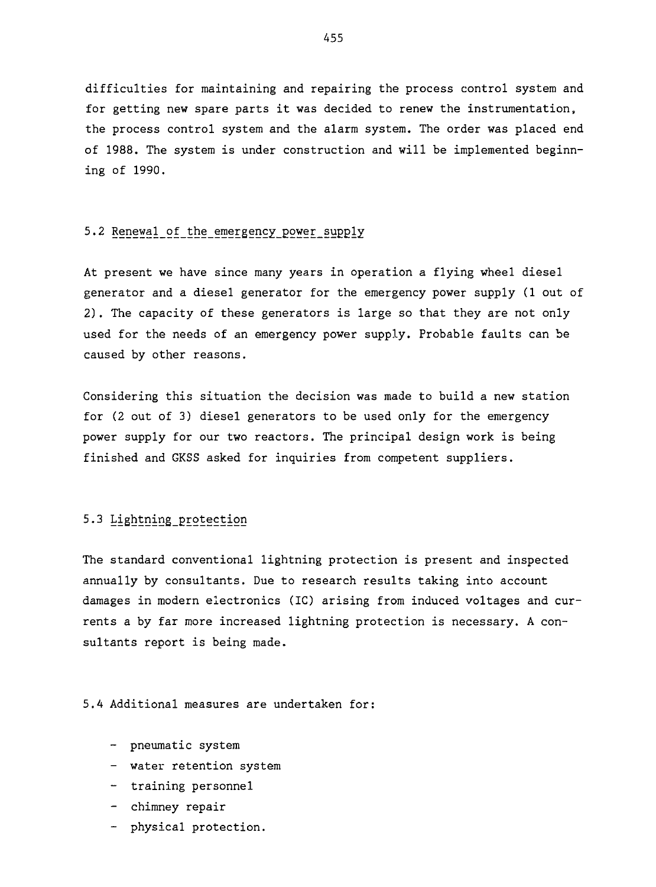difficulties for maintaining and repairing the process control system and for getting new spare parts it was decided to renew the instrumentation, the process control system and the alarm system. The order was placed end of 1988. The system is under construction and will be implemented beginning of 1990.

## 5.2 Renewal of the emergency power supply

At present we have since many years in operation a flying wheel diesel generator and a diesel generator for the emergency power supply (1 out of 2). The capacity of these generators is large so that they are not only used for the needs of an emergency power supply. Probable faults can be caused by other reasons.

Considering this situation the decision was made to build a new station for (2 out of 3) diesel generators to be used only for the emergency power supply for our two reactors. The principal design work is being finished and GKSS asked for inquiries from competent suppliers.

# 5.3 Lightning\_protection

The standard conventional lightning protection is present and inspected annually by consultants. Due to research results taking into account damages in modern electronics (IC) arising from induced voltages and currents a by far more increased lightning protection is necessary. A consultants report is being made.

5.4 Additional measures are undertaken for:

- pneumatic system
- water retention system
- training personnel
- chimney repair
- physical protection.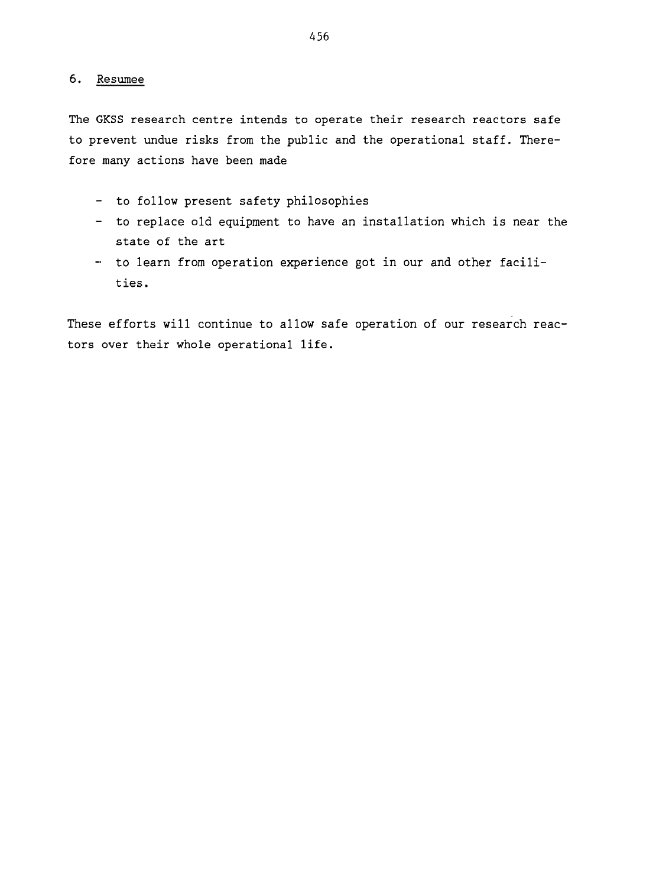## 6. Resumee

The GKSS research centre intends to operate their research reactors safe to prevent undue risks from the public and the operational staff. Therefore many actions have been made

- to follow present safety philosophies
- to replace old equipment to have an installation which is near the state of the art
- to learn from operation experience got in our and other facilities.

These efforts will continue to allow safe operation of our research reactors over their whole operational life.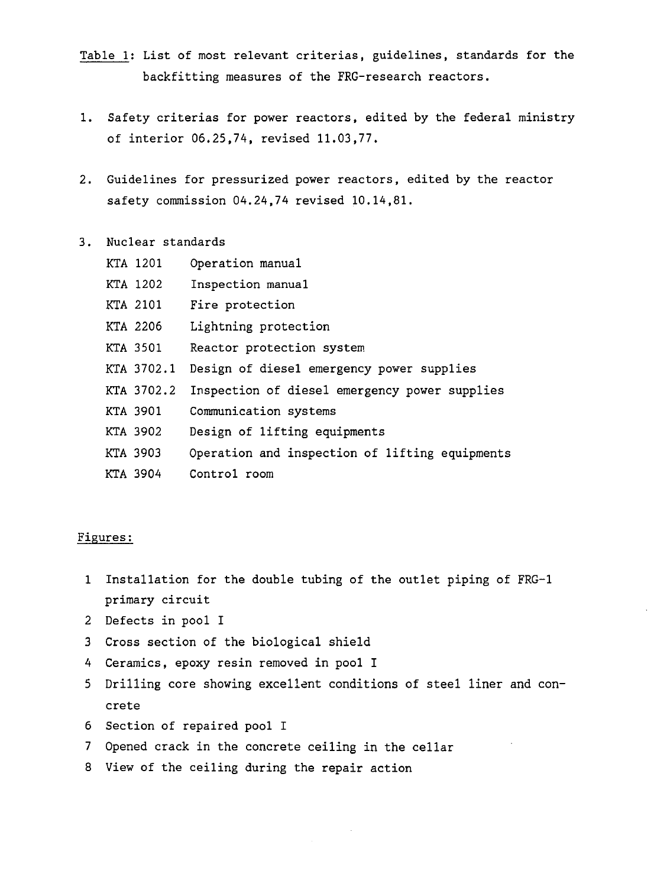- Table 1; List of most relevant criterias, guidelines, standards for the backfitting measures of the FRG-research reactors.
- 1. Safety criterias for power reactors, edited by the federal ministry of interior 06.25,74, revised 11.03,77.
- 2. Guidelines for pressurized power reactors, edited by the reactor safety commission 04.24,74 revised 10.14,81.
- 3. Nuclear standards

| KTA 1201   | Operation manual                               |
|------------|------------------------------------------------|
| KTA 1202   | Inspection manual                              |
| KTA 2101   | Fire protection                                |
| KTA 2206   | Lightning protection                           |
| KTA 3501   | Reactor protection system                      |
| KTA 3702.1 | Design of diesel emergency power supplies      |
| KTA 3702.2 | Inspection of diesel emergency power supplies  |
| KTA 3901   | Communication systems                          |
| KTA 3902   | Design of lifting equipments                   |
| KTA 3903   | Operation and inspection of lifting equipments |
| KTA 3904   | Control room                                   |

#### Figures:

- 1 Installation for the double tubing of the outlet piping of FRG-1 primary circuit
- 2 Defects in pool I
- 3 Cross section of the biological shield
- 4 Ceramics, epoxy resin removed in pool I
- 5 Drilling core showing excellent conditions of steel liner and concrete
- 6 Section of repaired pool I
- 7 Opened crack in the concrete ceiling in the cellar
- 8 View of the ceiling during the repair action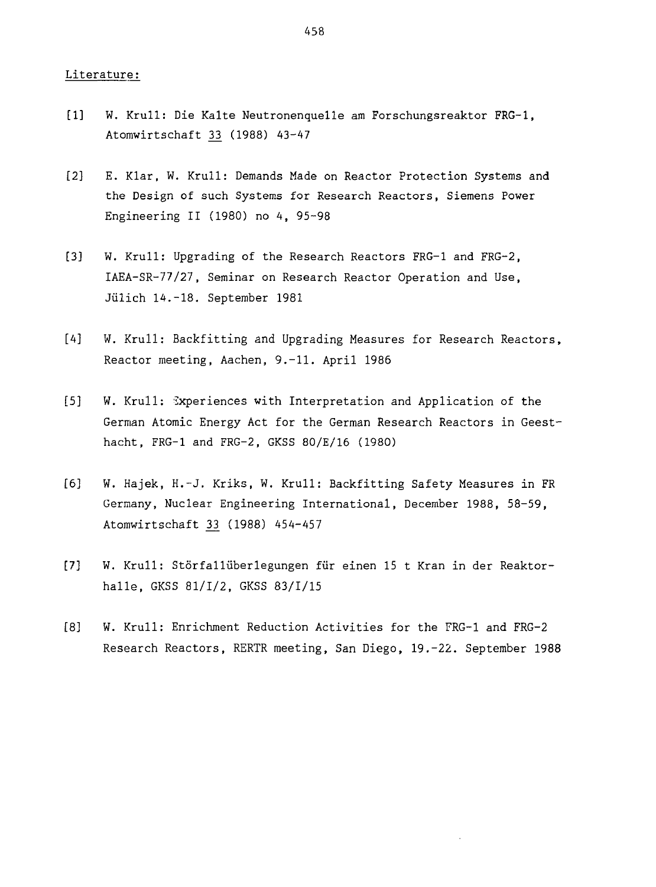#### Literature:

- [1] W. Krull: Die Kalte Neutronenquelle am Forschungsreaktor FRG-1, Atomwirtschaft 33 (1988) 43-47
- [2] E. Klar, W. Krull: Demands Made on Reactor Protection Systems and the Design of such Systems for Research Reactors, Siemens Power Engineering II (1980) no 4, 95-98
- [3] W. Krull: Upgrading of the Research Reactors FRG-1 and FRG-2, IAEA-SR-77/27, Seminar on Research Reactor Operation and Use, Jülich 14.-18. September 1981
- [4] W. Krull: Backfitting and Upgrading Measures for Research Reactors, Reactor meeting, Aachen, 9.-11. April 1986
- [5] W. Krull: Experiences with Interpretation and Application of the German Atomic Energy Act for the German Research Reactors in Geesthacht, FRG-1 and FRG-2, GKSS 80/E/16 (1980)
- [6] W. Hajek, H.-J. Kriks, W. Krull: Backfitting Safety Measures in FR Germany, Nuclear Engineering International, December 1988, 58-59, Atomwirtschaft 13 (1988) 454-457
- [7] W. Krull: Störfallüberlegungen für einen 15 t Kran in der Reaktorhalle, GKSS 81/1/2, GKSS 83/1/15
- [8] W. Krull: Enrichment Reduction Activities for the FRG-1 and FRG-2 Research Reactors, RERTR meeting, San Diego, 19.-22. September 1988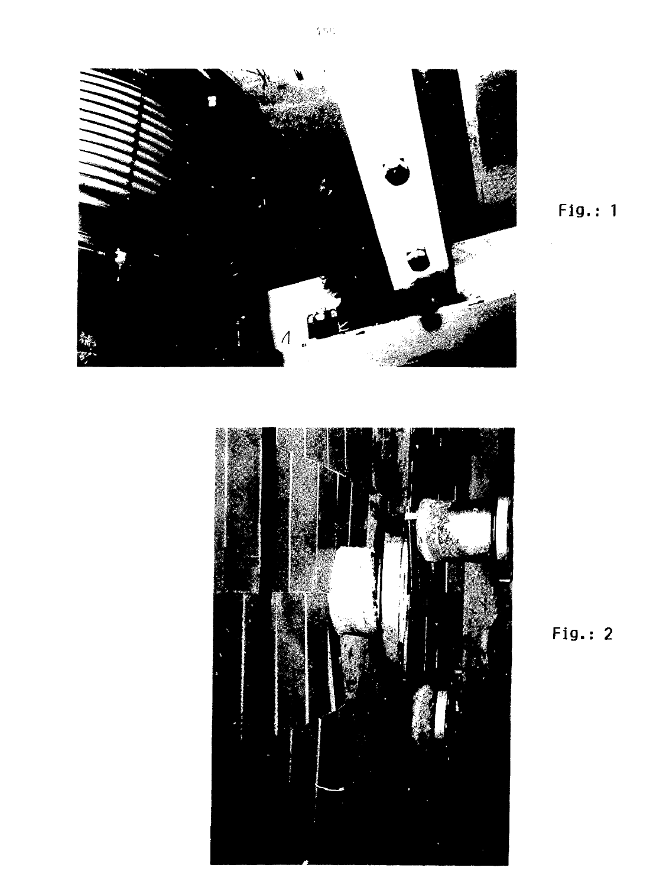

Fig.: 1



Fig.: 2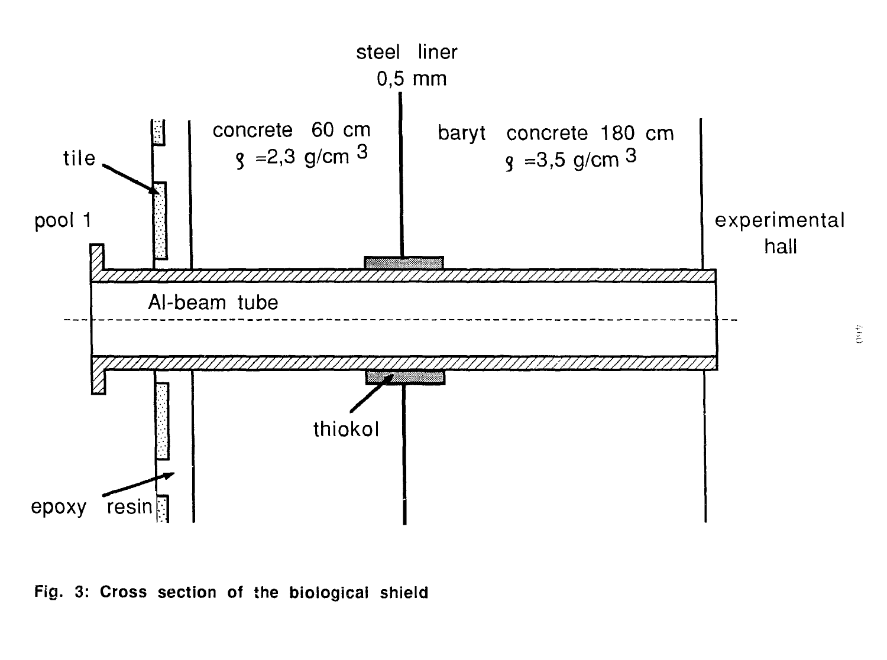

Fig. 3: Cross section of the biological shield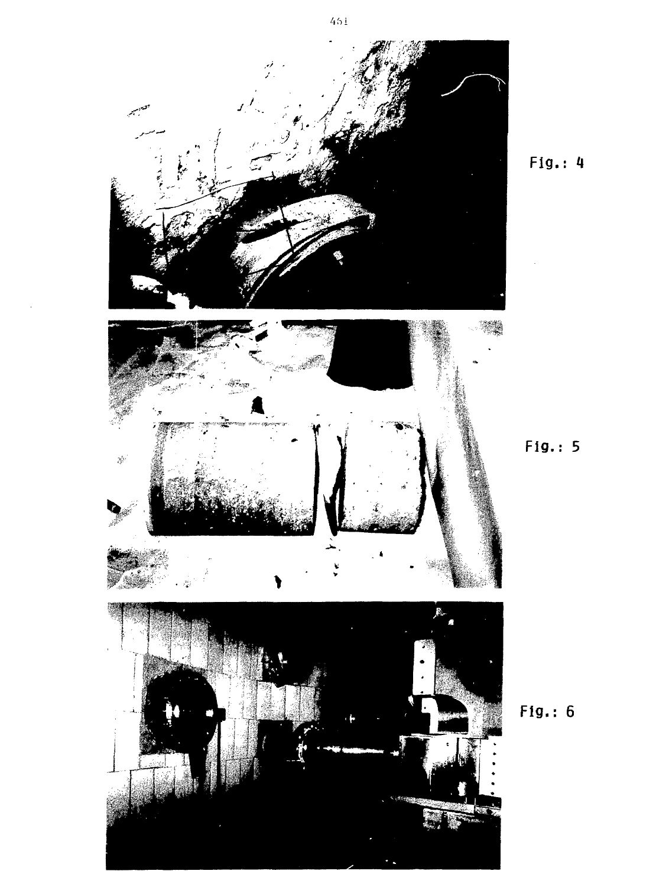

Fig.: H

Fig.: 5

 $Fig.: 6$